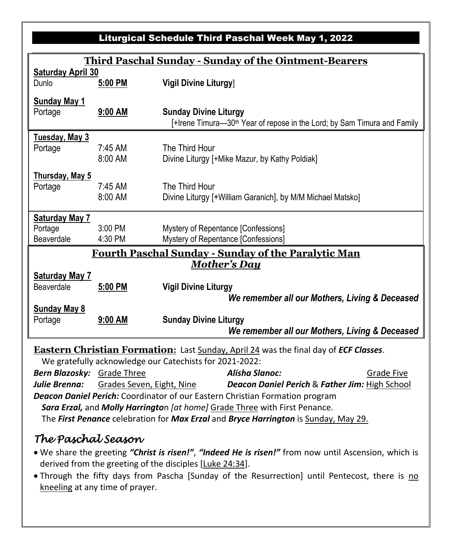## Liturgical Schedule Third Paschal Week May 1, 2022

| <b>Third Paschal Sunday - Sunday of the Ointment-Bearers</b>                       |           |                                                                                      |  |  |  |  |
|------------------------------------------------------------------------------------|-----------|--------------------------------------------------------------------------------------|--|--|--|--|
| <b>Saturday April 30</b>                                                           |           |                                                                                      |  |  |  |  |
| Dunlo                                                                              | 5:00 PM   | <b>Vigil Divine Liturgy</b>                                                          |  |  |  |  |
| <b>Sunday May 1</b>                                                                |           |                                                                                      |  |  |  |  |
| Portage                                                                            | 9:00 AM   | <b>Sunday Divine Liturgy</b>                                                         |  |  |  |  |
|                                                                                    |           | [+Irene Timura-30 <sup>th</sup> Year of repose in the Lord; by Sam Timura and Family |  |  |  |  |
| <b>Tuesday, May 3</b>                                                              |           |                                                                                      |  |  |  |  |
| Portage                                                                            | $7:45$ AM | The Third Hour                                                                       |  |  |  |  |
|                                                                                    | 8:00 AM   | Divine Liturgy [+Mike Mazur, by Kathy Poldiak]                                       |  |  |  |  |
| Thursday, May 5                                                                    |           |                                                                                      |  |  |  |  |
| Portage                                                                            | $7:45$ AM | The Third Hour                                                                       |  |  |  |  |
|                                                                                    | 8:00 AM   | Divine Liturgy [+William Garanich], by M/M Michael Matsko]                           |  |  |  |  |
|                                                                                    |           |                                                                                      |  |  |  |  |
| <b>Saturday May 7</b>                                                              |           |                                                                                      |  |  |  |  |
| Portage                                                                            | 3:00 PM   | Mystery of Repentance [Confessions]                                                  |  |  |  |  |
| Beaverdale                                                                         | 4:30 PM   | Mystery of Repentance [Confessions]                                                  |  |  |  |  |
| <b>Fourth Paschal Sunday - Sunday of the Paralytic Man</b>                         |           |                                                                                      |  |  |  |  |
| Mother's Day                                                                       |           |                                                                                      |  |  |  |  |
| <b>Saturday May 7</b>                                                              |           |                                                                                      |  |  |  |  |
| Beaverdale                                                                         | 5:00 PM   | <b>Vigil Divine Liturgy</b>                                                          |  |  |  |  |
|                                                                                    |           | We remember all our Mothers, Living & Deceased                                       |  |  |  |  |
| <b>Sunday May 8</b><br>Portage                                                     | 9:00 AM   | <b>Sunday Divine Liturgy</b>                                                         |  |  |  |  |
|                                                                                    |           | We remember all our Mothers, Living & Deceased                                       |  |  |  |  |
| Eastern Christian Formation, Lest Curdey, April 24 uses the final day of FCF Class |           |                                                                                      |  |  |  |  |

**Eastern Christian Formation:** Last Sunday, April 24 was the final day of *ECF Classes*.

We gratefully acknowledge our Catechists for 2021-2022:

| <b>Bern Blazosky:</b> Grade Three                                                   |                           | Alisha Slanoc:                                            | Grade Five |  |  |  |
|-------------------------------------------------------------------------------------|---------------------------|-----------------------------------------------------------|------------|--|--|--|
| Julie Brenna:                                                                       | Grades Seven, Eight, Nine | <b>Deacon Daniel Perich &amp; Father Jim: High School</b> |            |  |  |  |
| <b>Deacon Daniel Perich:</b> Coordinator of our Eastern Christian Formation program |                           |                                                           |            |  |  |  |
| Sara Erzal, and Molly Harrington [at home] Grade Three with First Penance.          |                           |                                                           |            |  |  |  |
| The First Penance celebration for Max Erzal and Bryce Harrington is Sunday, May 29. |                           |                                                           |            |  |  |  |

## *The Paschal Season*

- We share the greeting *"Christ is risen!"*, *"Indeed He is risen!"* from now until Ascension, which is derived from the greeting of the disciples [Luke 24:34].
- Through the fifty days from Pascha [Sunday of the Resurrection] until Pentecost, there is no kneeling at any time of prayer.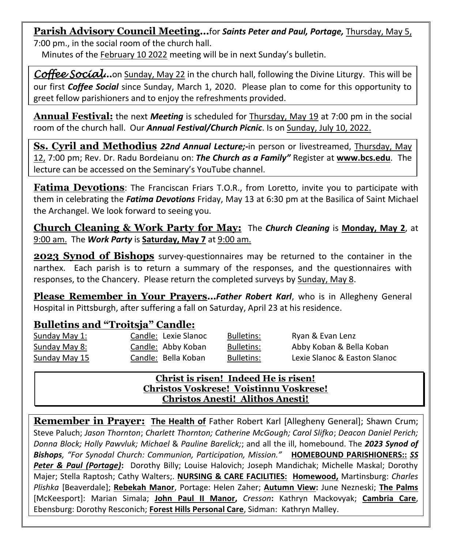**Parish Advisory Council Meeting…**for *Saints Peter and Paul, Portage,* Thursday, May 5, 7:00 pm., in the social room of the church hall.

Minutes of the February 10 2022 meeting will be in next Sunday's bulletin.

*Coffee Social***…**on Sunday, May 22 in the church hall, following the Divine Liturgy. This will be our first *Coffee Social* since Sunday, March 1, 2020. Please plan to come for this opportunity to greet fellow parishioners and to enjoy the refreshments provided.

**Annual Festival:** the next *Meeting* is scheduled for Thursday, May 19 at 7:00 pm in the social room of the church hall. Our *Annual Festival/Church Picnic*. Is on Sunday, July 10, 2022.

**Ss. Cyril and Methodius** *22nd Annual Lecture;-*in person or livestreamed, Thursday, May 12, 7:00 pm; Rev. Dr. Radu Bordeianu on: *The Church as a Family"* Register at **[www.bcs.edu](http://www.bcs.edu/)**. The lecture can be accessed on the Seminary's YouTube channel.

**Fatima Devotions**: The Franciscan Friars T.O.R., from Loretto, invite you to participate with them in celebrating the *Fatima Devotions* Friday, May 13 at 6:30 pm at the Basilica of Saint Michael the Archangel. We look forward to seeing you.

**Church Cleaning & Work Party for May:** The *Church Cleaning* is **Monday, May 2**, at 9:00 am. The *Work Party* is **Saturday, May 7** at 9:00 am.

**2023 Synod of Bishops** survey-questionnaires may be returned to the container in the narthex. Each parish is to return a summary of the responses, and the questionnaires with responses, to the Chancery. Please return the completed surveys by Sunday, May 8.

**Please Remember in Your Prayers…***Father Robert Karl*, who is in Allegheny General Hospital in Pittsburgh, after suffering a fall on Saturday, April 23 at his residence.

## **Bulletins and "Troitsja" Candle:**

| Sunday May 1:        | Candle: Lexie Slanoc | Bulletins:        | Ryan & Evan Lenz             |
|----------------------|----------------------|-------------------|------------------------------|
| Sunday May 8:        | Candle: Abby Koban   | Bulletins:        | Abby Koban & Bella Koban     |
| <b>Sunday May 15</b> | Candle: Bella Koban  | <b>Bulletins:</b> | Lexie Slanoc & Easton Slanoc |

## **Christ is risen! Indeed He is risen! Christos Voskrese! Voistinnu Voskrese! Christos Anesti! Alithos Anesti!**

**Remember in Prayer: The Health of** Father Robert Karl [Allegheny General]; Shawn Crum; Steve Paluch; *Jason Thornton*; *Charlett Thornton; Catherine McGough; Carol Slifko*; *Deacon Daniel Perich; Donna Block; Holly Pawvluk; Michael* & *Pauline Barelick;*; and all the ill, homebound. The *2023 Synod of Bishops, "For Synodal Church: Communion, Participation, Mission."* **HOMEBOUND PARISHIONERS::** *SS Peter & Paul (Portage)***:** Dorothy Billy; Louise Halovich; Joseph Mandichak; Michelle Maskal; Dorothy Majer; Stella Raptosh; Cathy Walters;. **NURSING & CARE FACILITIES: Homewood,** Martinsburg: *Charles Plishka* [Beaverdale]; **Rebekah Manor**, Portage: Helen Zaher; **Autumn View:** June Nezneski; **The Palms** [McKeesport]: Marian Simala; **John Paul II Manor,** *Cresson***:** Kathryn Mackovyak; **Cambria Care**, Ebensburg: Dorothy Resconich; **Forest Hills Personal Care**, Sidman: Kathryn Malley.